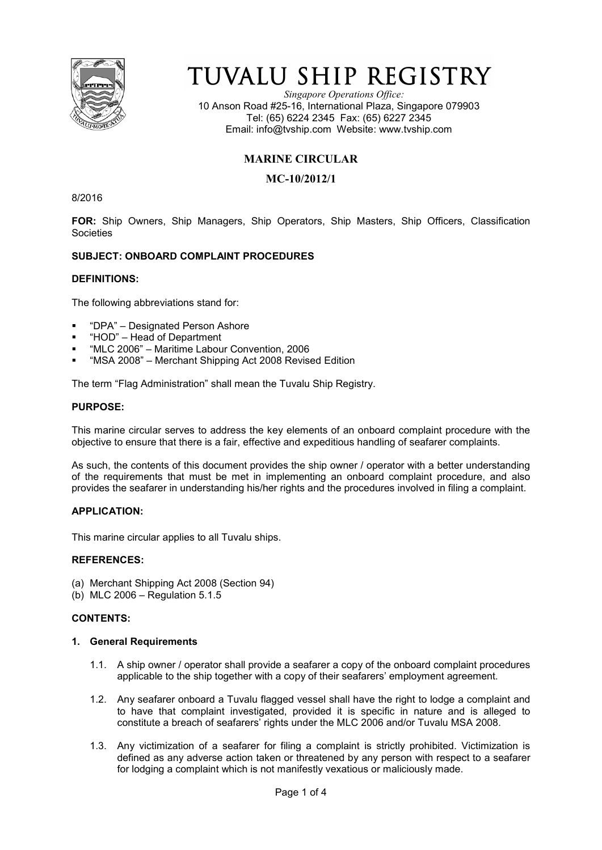

# TUVALU SHIP REGISTRY

*Singapore Operations Office:* 10 Anson Road #25-16, International Plaza, Singapore 079903 Tel: (65) 6224 2345 Fax: (65) 6227 2345 Email: info@tvship.com Website: www.tvship.com

# **MARINE CIRCULAR**

## **MC-10/2012/1**

8/2016

**FOR:** Ship Owners, Ship Managers, Ship Operators, Ship Masters, Ship Officers, Classification Societies

## **SUBJECT: ONBOARD COMPLAINT PROCEDURES**

## **DEFINITIONS:**

The following abbreviations stand for:

- "DPA" Designated Person Ashore
- "HOD" Head of Department
- "MLC 2006" Maritime Labour Convention, 2006
- "MSA 2008" Merchant Shipping Act 2008 Revised Edition

The term "Flag Administration" shall mean the Tuvalu Ship Registry.

#### **PURPOSE:**

This marine circular serves to address the key elements of an onboard complaint procedure with the objective to ensure that there is a fair, effective and expeditious handling of seafarer complaints.

As such, the contents of this document provides the ship owner / operator with a better understanding of the requirements that must be met in implementing an onboard complaint procedure, and also provides the seafarer in understanding his/her rights and the procedures involved in filing a complaint.

## **APPLICATION:**

This marine circular applies to all Tuvalu ships.

#### **REFERENCES:**

- (a) Merchant Shipping Act 2008 (Section 94)
- (b) MLC 2006 Regulation 5.1.5

## **CONTENTS:**

#### **1. General Requirements**

- 1.1. A ship owner / operator shall provide a seafarer a copy of the onboard complaint procedures applicable to the ship together with a copy of their seafarers' employment agreement.
- 1.2. Any seafarer onboard a Tuvalu flagged vessel shall have the right to lodge a complaint and to have that complaint investigated, provided it is specific in nature and is alleged to constitute a breach of seafarers' rights under the MLC 2006 and/or Tuvalu MSA 2008.
- 1.3. Any victimization of a seafarer for filing a complaint is strictly prohibited. Victimization is defined as any adverse action taken or threatened by any person with respect to a seafarer for lodging a complaint which is not manifestly vexatious or maliciously made.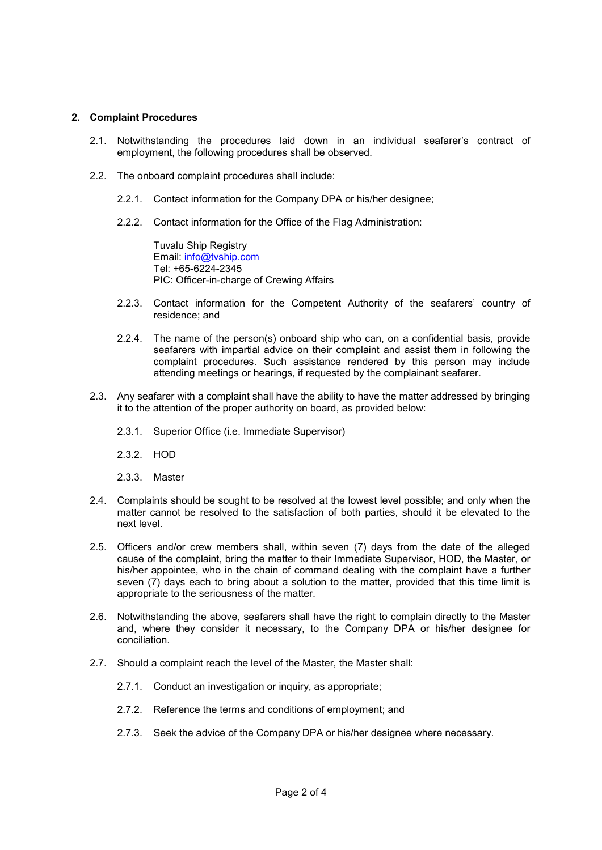#### **2. Complaint Procedures**

- 2.1. Notwithstanding the procedures laid down in an individual seafarer's contract of employment, the following procedures shall be observed.
- 2.2. The onboard complaint procedures shall include:
	- 2.2.1. Contact information for the Company DPA or his/her designee;
	- 2.2.2. Contact information for the Office of the Flag Administration:

Tuvalu Ship Registry Email: info@tvship.com Tel: +65-6224-2345 PIC: Officer-in-charge of Crewing Affairs

- 2.2.3. Contact information for the Competent Authority of the seafarers' country of residence; and
- 2.2.4. The name of the person(s) onboard ship who can, on a confidential basis, provide seafarers with impartial advice on their complaint and assist them in following the complaint procedures. Such assistance rendered by this person may include attending meetings or hearings, if requested by the complainant seafarer.
- 2.3. Any seafarer with a complaint shall have the ability to have the matter addressed by bringing it to the attention of the proper authority on board, as provided below:
	- 2.3.1. Superior Office (i.e. Immediate Supervisor)
	- 2.3.2. HOD
	- 2.3.3. Master
- 2.4. Complaints should be sought to be resolved at the lowest level possible; and only when the matter cannot be resolved to the satisfaction of both parties, should it be elevated to the next level.
- 2.5. Officers and/or crew members shall, within seven (7) days from the date of the alleged cause of the complaint, bring the matter to their Immediate Supervisor, HOD, the Master, or his/her appointee, who in the chain of command dealing with the complaint have a further seven (7) days each to bring about a solution to the matter, provided that this time limit is appropriate to the seriousness of the matter.
- 2.6. Notwithstanding the above, seafarers shall have the right to complain directly to the Master and, where they consider it necessary, to the Company DPA or his/her designee for conciliation.
- 2.7. Should a complaint reach the level of the Master, the Master shall:
	- 2.7.1. Conduct an investigation or inquiry, as appropriate;
	- 2.7.2. Reference the terms and conditions of employment; and
	- 2.7.3. Seek the advice of the Company DPA or his/her designee where necessary.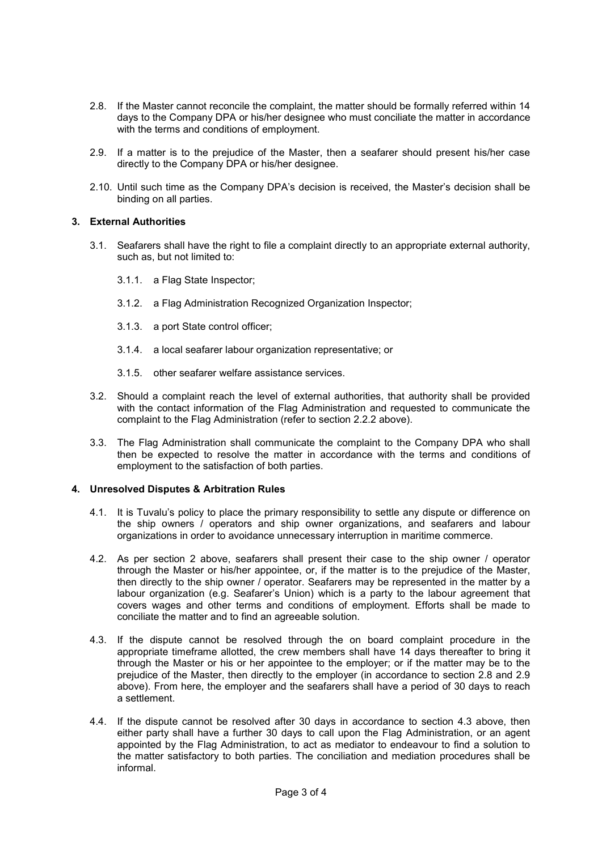- 2.8. If the Master cannot reconcile the complaint, the matter should be formally referred within 14 days to the Company DPA or his/her designee who must conciliate the matter in accordance with the terms and conditions of employment.
- 2.9. If a matter is to the prejudice of the Master, then a seafarer should present his/her case directly to the Company DPA or his/her designee.
- 2.10. Until such time as the Company DPA's decision is received, the Master's decision shall be binding on all parties.

## **3. External Authorities**

- 3.1. Seafarers shall have the right to file a complaint directly to an appropriate external authority, such as, but not limited to:
	- 3.1.1. a Flag State Inspector;
	- 3.1.2. a Flag Administration Recognized Organization Inspector;
	- 3.1.3. a port State control officer;
	- 3.1.4. a local seafarer labour organization representative; or
	- 3.1.5. other seafarer welfare assistance services.
- 3.2. Should a complaint reach the level of external authorities, that authority shall be provided with the contact information of the Flag Administration and requested to communicate the complaint to the Flag Administration (refer to section 2.2.2 above).
- 3.3. The Flag Administration shall communicate the complaint to the Company DPA who shall then be expected to resolve the matter in accordance with the terms and conditions of employment to the satisfaction of both parties.

## **4. Unresolved Disputes & Arbitration Rules**

- 4.1. It is Tuvalu's policy to place the primary responsibility to settle any dispute or difference on the ship owners / operators and ship owner organizations, and seafarers and labour organizations in order to avoidance unnecessary interruption in maritime commerce.
- 4.2. As per section 2 above, seafarers shall present their case to the ship owner / operator through the Master or his/her appointee, or, if the matter is to the prejudice of the Master, then directly to the ship owner / operator. Seafarers may be represented in the matter by a labour organization (e.g. Seafarer's Union) which is a party to the labour agreement that covers wages and other terms and conditions of employment. Efforts shall be made to conciliate the matter and to find an agreeable solution.
- 4.3. If the dispute cannot be resolved through the on board complaint procedure in the appropriate timeframe allotted, the crew members shall have 14 days thereafter to bring it through the Master or his or her appointee to the employer; or if the matter may be to the prejudice of the Master, then directly to the employer (in accordance to section 2.8 and 2.9 above). From here, the employer and the seafarers shall have a period of 30 days to reach a settlement.
- 4.4. If the dispute cannot be resolved after 30 days in accordance to section 4.3 above, then either party shall have a further 30 days to call upon the Flag Administration, or an agent appointed by the Flag Administration, to act as mediator to endeavour to find a solution to the matter satisfactory to both parties. The conciliation and mediation procedures shall be informal.